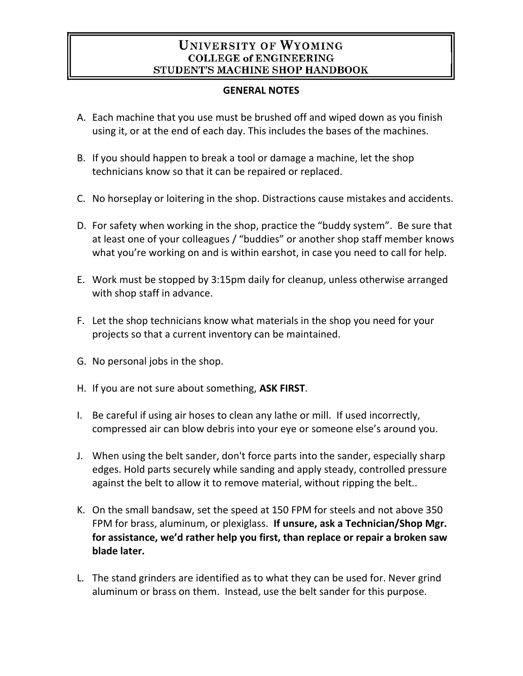# **UNIVERSITY OF WYOMING COLLEGE of ENGINEERING** STUDENT'S MACHINE SHOP HANDBOOK

### **GENERAL NOTES**

- A. Each machine that you use must be brushed off and wiped down as you finish using it, or at the end of each day. This includes the bases of the machines.
- B. If you should happen to break a tool or damage a machine, let the shop technicians know so that it can be repaired or replaced.
- C. No horseplay or loitering in the shop. Distractions cause mistakes and accidents.
- D. For safety when working in the shop, practice the "buddy system". Be sure that at least one of your colleagues / "buddies" or another shop staff member knows what you're working on and is within earshot, in case you need to call for help.
- E. Work must be stopped by 3:15pm daily for cleanup, unless otherwise arranged with shop staff in advance.
- F. Let the shop technicians know what materials in the shop you need for your projects so that a current inventory can be maintained.
- G. No personal jobs in the shop.
- H. If you are not sure about something, **ASK FIRST**.
- I. Be careful if using air hoses to clean any lathe or mill. If used incorrectly, compressed air can blow debris into your eye or someone else's around you.
- J. When using the belt sander, don't force parts into the sander, especially sharp edges. Hold parts securely while sanding and apply steady, controlled pressure against the belt to allow it to remove material, without ripping the belt..
- K. On the small bandsaw, set the speed at 150 FPM for steels and not above 350 FPM for brass, aluminum, or plexiglass. **If unsure, ask a Technician/Shop Mgr. for assistance, we'd rather help you first, than replace or repair a broken saw blade later.**
- L. The stand grinders are identified as to what they can be used for. Never grind aluminum or brass on them. Instead, use the belt sander for this purpose.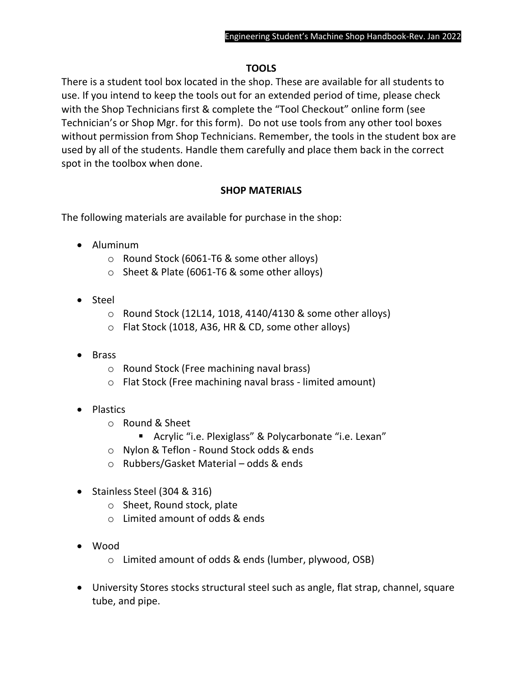# **TOOLS**

There is a student tool box located in the shop. These are available for all students to use. If you intend to keep the tools out for an extended period of time, please check with the Shop Technicians first & complete the "Tool Checkout" online form (see Technician's or Shop Mgr. for this form). Do not use tools from any other tool boxes without permission from Shop Technicians. Remember, the tools in the student box are used by all of the students. Handle them carefully and place them back in the correct spot in the toolbox when done.

### **SHOP MATERIALS**

The following materials are available for purchase in the shop:

- Aluminum
	- o Round Stock (6061-T6 & some other alloys)
	- o Sheet & Plate (6061-T6 & some other alloys)
- Steel
	- $\circ$  Round Stock (12L14, 1018, 4140/4130 & some other alloys)
	- o Flat Stock (1018, A36, HR & CD, some other alloys)
- Brass
	- o Round Stock (Free machining naval brass)
	- o Flat Stock (Free machining naval brass limited amount)
- Plastics
	- o Round & Sheet
		- Acrylic "i.e. Plexiglass" & Polycarbonate "i.e. Lexan"
	- o Nylon & Teflon Round Stock odds & ends
	- o Rubbers/Gasket Material odds & ends
- Stainless Steel (304 & 316)
	- o Sheet, Round stock, plate
	- $\circ$  Limited amount of odds & ends
- Wood
	- o Limited amount of odds & ends (lumber, plywood, OSB)
- University Stores stocks structural steel such as angle, flat strap, channel, square tube, and pipe.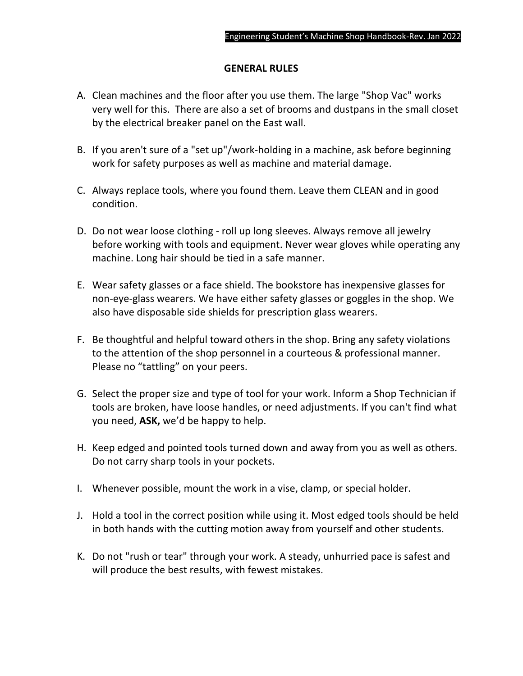#### **GENERAL RULES**

- A. Clean machines and the floor after you use them. The large "Shop Vac" works very well for this. There are also a set of brooms and dustpans in the small closet by the electrical breaker panel on the East wall.
- B. If you aren't sure of a "set up"/work-holding in a machine, ask before beginning work for safety purposes as well as machine and material damage.
- C. Always replace tools, where you found them. Leave them CLEAN and in good condition.
- D. Do not wear loose clothing roll up long sleeves. Always remove all jewelry before working with tools and equipment. Never wear gloves while operating any machine. Long hair should be tied in a safe manner.
- E. Wear safety glasses or a face shield. The bookstore has inexpensive glasses for non-eye-glass wearers. We have either safety glasses or goggles in the shop. We also have disposable side shields for prescription glass wearers.
- F. Be thoughtful and helpful toward others in the shop. Bring any safety violations to the attention of the shop personnel in a courteous & professional manner. Please no "tattling" on your peers.
- G. Select the proper size and type of tool for your work. Inform a Shop Technician if tools are broken, have loose handles, or need adjustments. If you can't find what you need, **ASK,** we'd be happy to help.
- H. Keep edged and pointed tools turned down and away from you as well as others. Do not carry sharp tools in your pockets.
- I. Whenever possible, mount the work in a vise, clamp, or special holder.
- J. Hold a tool in the correct position while using it. Most edged tools should be held in both hands with the cutting motion away from yourself and other students.
- K. Do not "rush or tear" through your work. A steady, unhurried pace is safest and will produce the best results, with fewest mistakes.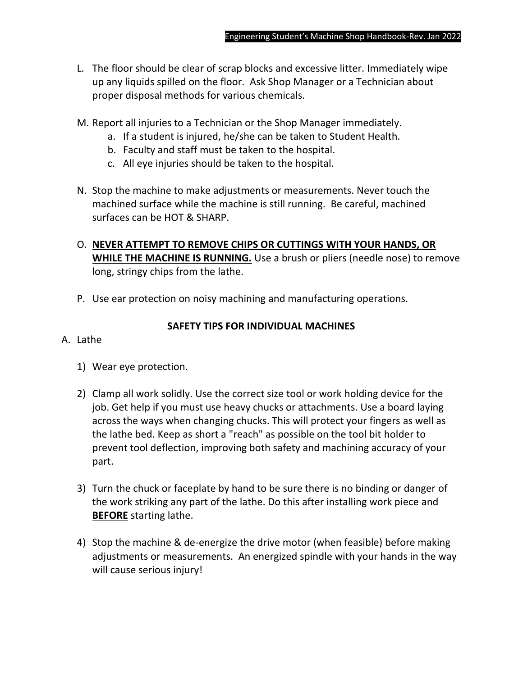- L. The floor should be clear of scrap blocks and excessive litter. Immediately wipe up any liquids spilled on the floor. Ask Shop Manager or a Technician about proper disposal methods for various chemicals.
- M. Report all injuries to a Technician or the Shop Manager immediately.
	- a. If a student is injured, he/she can be taken to Student Health.
	- b. Faculty and staff must be taken to the hospital.
	- c. All eye injuries should be taken to the hospital.
- N. Stop the machine to make adjustments or measurements. Never touch the machined surface while the machine is still running. Be careful, machined surfaces can be HOT & SHARP.
- O. **NEVER ATTEMPT TO REMOVE CHIPS OR CUTTINGS WITH YOUR HANDS, OR WHILE THE MACHINE IS RUNNING.** Use a brush or pliers (needle nose) to remove long, stringy chips from the lathe.
- P. Use ear protection on noisy machining and manufacturing operations.

# **SAFETY TIPS FOR INDIVIDUAL MACHINES**

- A. Lathe
	- 1) Wear eye protection.
	- 2) Clamp all work solidly. Use the correct size tool or work holding device for the job. Get help if you must use heavy chucks or attachments. Use a board laying across the ways when changing chucks. This will protect your fingers as well as the lathe bed. Keep as short a "reach" as possible on the tool bit holder to prevent tool deflection, improving both safety and machining accuracy of your part.
	- 3) Turn the chuck or faceplate by hand to be sure there is no binding or danger of the work striking any part of the lathe. Do this after installing work piece and **BEFORE** starting lathe.
	- 4) Stop the machine & de-energize the drive motor (when feasible) before making adjustments or measurements. An energized spindle with your hands in the way will cause serious injury!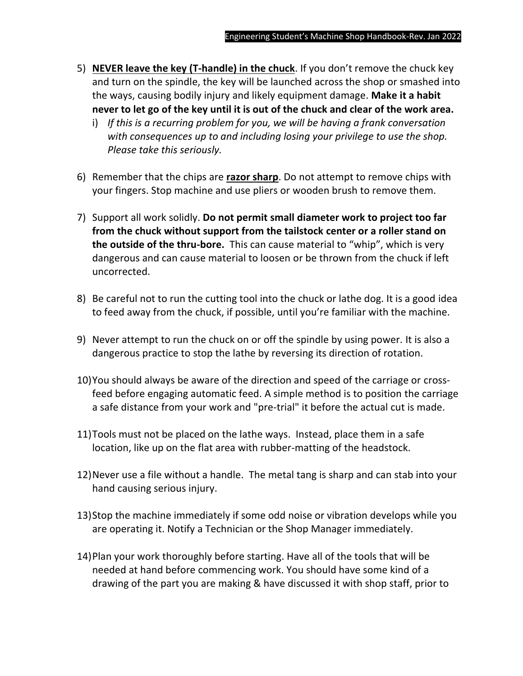- 5) **NEVER leave the key (T-handle) in the chuck**. If you don't remove the chuck key and turn on the spindle, the key will be launched across the shop or smashed into the ways, causing bodily injury and likely equipment damage. **Make it a habit never to let go of the key until it is out of the chuck and clear of the work area.**
	- i) *If this is a recurring problem for you, we will be having a frank conversation with consequences up to and including losing your privilege to use the shop. Please take this seriously.*
- 6) Remember that the chips are **razor sharp**. Do not attempt to remove chips with your fingers. Stop machine and use pliers or wooden brush to remove them.
- 7) Support all work solidly. **Do not permit small diameter work to project too far from the chuck without support from the tailstock center or a roller stand on the outside of the thru-bore.** This can cause material to "whip", which is very dangerous and can cause material to loosen or be thrown from the chuck if left uncorrected.
- 8) Be careful not to run the cutting tool into the chuck or lathe dog. It is a good idea to feed away from the chuck, if possible, until you're familiar with the machine.
- 9) Never attempt to run the chuck on or off the spindle by using power. It is also a dangerous practice to stop the lathe by reversing its direction of rotation.
- 10)You should always be aware of the direction and speed of the carriage or crossfeed before engaging automatic feed. A simple method is to position the carriage a safe distance from your work and "pre-trial" it before the actual cut is made.
- 11)Tools must not be placed on the lathe ways. Instead, place them in a safe location, like up on the flat area with rubber-matting of the headstock.
- 12)Never use a file without a handle. The metal tang is sharp and can stab into your hand causing serious injury.
- 13)Stop the machine immediately if some odd noise or vibration develops while you are operating it. Notify a Technician or the Shop Manager immediately.
- 14)Plan your work thoroughly before starting. Have all of the tools that will be needed at hand before commencing work. You should have some kind of a drawing of the part you are making & have discussed it with shop staff, prior to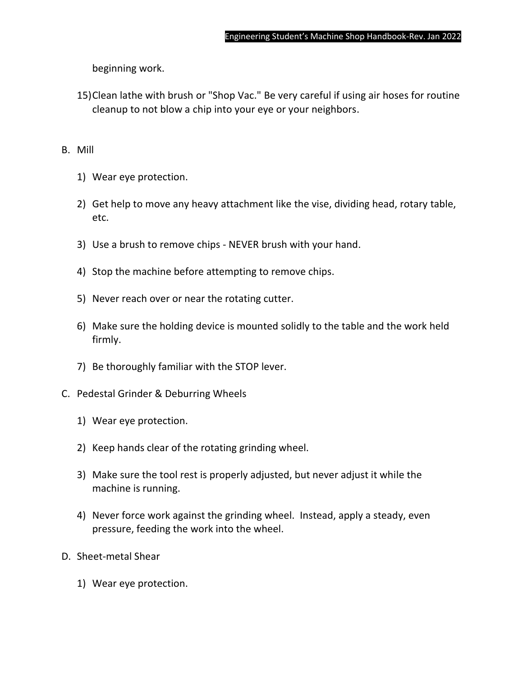beginning work.

15)Clean lathe with brush or "Shop Vac." Be very careful if using air hoses for routine cleanup to not blow a chip into your eye or your neighbors.

### B. Mill

- 1) Wear eye protection.
- 2) Get help to move any heavy attachment like the vise, dividing head, rotary table, etc.
- 3) Use a brush to remove chips NEVER brush with your hand.
- 4) Stop the machine before attempting to remove chips.
- 5) Never reach over or near the rotating cutter.
- 6) Make sure the holding device is mounted solidly to the table and the work held firmly.
- 7) Be thoroughly familiar with the STOP lever.
- C. Pedestal Grinder & Deburring Wheels
	- 1) Wear eye protection.
	- 2) Keep hands clear of the rotating grinding wheel.
	- 3) Make sure the tool rest is properly adjusted, but never adjust it while the machine is running.
	- 4) Never force work against the grinding wheel. Instead, apply a steady, even pressure, feeding the work into the wheel.
- D. Sheet-metal Shear
	- 1) Wear eye protection.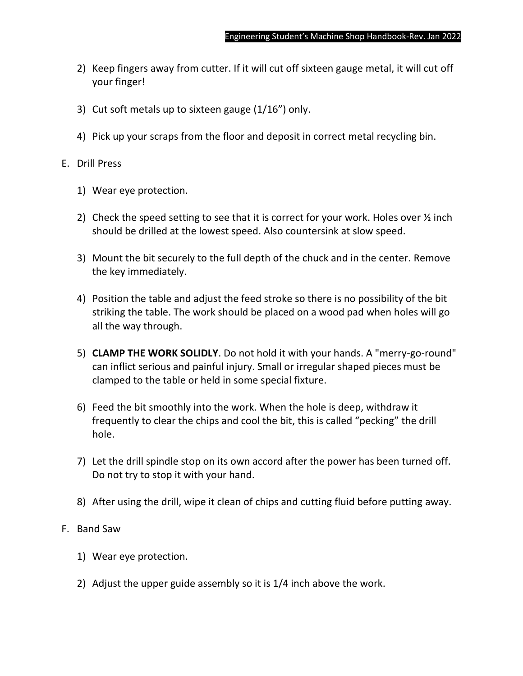- 2) Keep fingers away from cutter. If it will cut off sixteen gauge metal, it will cut off your finger!
- 3) Cut soft metals up to sixteen gauge (1/16") only.
- 4) Pick up your scraps from the floor and deposit in correct metal recycling bin.

### E. Drill Press

- 1) Wear eye protection.
- 2) Check the speed setting to see that it is correct for your work. Holes over  $\frac{1}{2}$  inch should be drilled at the lowest speed. Also countersink at slow speed.
- 3) Mount the bit securely to the full depth of the chuck and in the center. Remove the key immediately.
- 4) Position the table and adjust the feed stroke so there is no possibility of the bit striking the table. The work should be placed on a wood pad when holes will go all the way through.
- 5) **CLAMP THE WORK SOLIDLY**. Do not hold it with your hands. A "merry-go-round" can inflict serious and painful injury. Small or irregular shaped pieces must be clamped to the table or held in some special fixture.
- 6) Feed the bit smoothly into the work. When the hole is deep, withdraw it frequently to clear the chips and cool the bit, this is called "pecking" the drill hole.
- 7) Let the drill spindle stop on its own accord after the power has been turned off. Do not try to stop it with your hand.
- 8) After using the drill, wipe it clean of chips and cutting fluid before putting away.

### F. Band Saw

- 1) Wear eye protection.
- 2) Adjust the upper guide assembly so it is 1/4 inch above the work.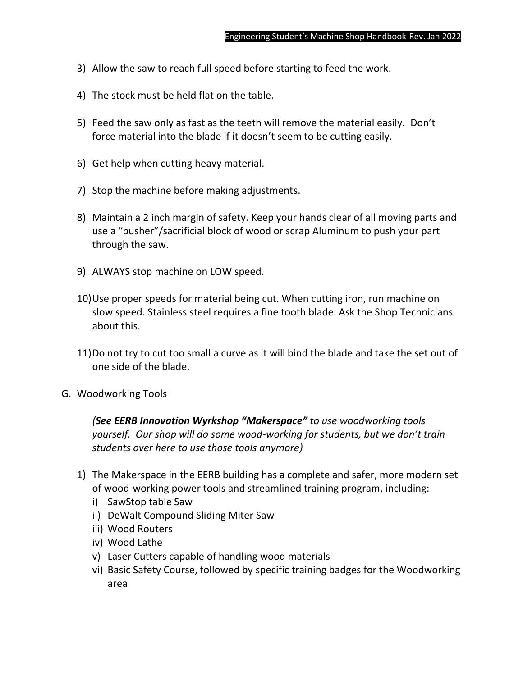- 3) Allow the saw to reach full speed before starting to feed the work.
- 4) The stock must be held flat on the table.
- 5) Feed the saw only as fast as the teeth will remove the material easily. Don't force material into the blade if it doesn't seem to be cutting easily.
- 6) Get help when cutting heavy material.
- 7) Stop the machine before making adjustments.
- 8) Maintain a 2 inch margin of safety. Keep your hands clear of all moving parts and use a "pusher"/sacrificial block of wood or scrap Aluminum to push your part through the saw.
- 9) ALWAYS stop machine on LOW speed.
- 10)Use proper speeds for material being cut. When cutting iron, run machine on slow speed. Stainless steel requires a fine tooth blade. Ask the Shop Technicians about this.
- 11)Do not try to cut too small a curve as it will bind the blade and take the set out of one side of the blade.
- G. Woodworking Tools

*(See EERB Innovation Wyrkshop "Makerspace" to use woodworking tools yourself. Our shop will do some wood-working for students, but we don't train students over here to use those tools anymore)*

- 1) The Makerspace in the EERB building has a complete and safer, more modern set of wood-working power tools and streamlined training program, including:
	- i) SawStop table Saw
	- ii) DeWalt Compound Sliding Miter Saw
	- iii) Wood Routers
	- iv) Wood Lathe
	- v) Laser Cutters capable of handling wood materials
	- vi) Basic Safety Course, followed by specific training badges for the Woodworking area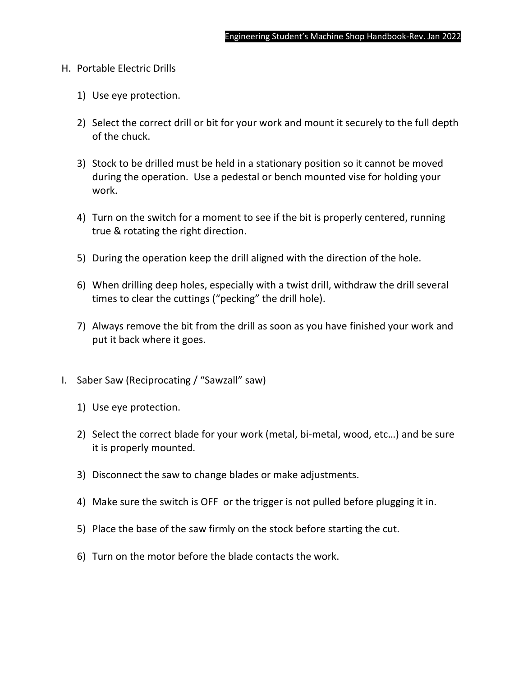- H. Portable Electric Drills
	- 1) Use eye protection.
	- 2) Select the correct drill or bit for your work and mount it securely to the full depth of the chuck.
	- 3) Stock to be drilled must be held in a stationary position so it cannot be moved during the operation. Use a pedestal or bench mounted vise for holding your work.
	- 4) Turn on the switch for a moment to see if the bit is properly centered, running true & rotating the right direction.
	- 5) During the operation keep the drill aligned with the direction of the hole.
	- 6) When drilling deep holes, especially with a twist drill, withdraw the drill several times to clear the cuttings ("pecking" the drill hole).
	- 7) Always remove the bit from the drill as soon as you have finished your work and put it back where it goes.
- I. Saber Saw (Reciprocating / "Sawzall" saw)
	- 1) Use eye protection.
	- 2) Select the correct blade for your work (metal, bi-metal, wood, etc…) and be sure it is properly mounted.
	- 3) Disconnect the saw to change blades or make adjustments.
	- 4) Make sure the switch is OFF or the trigger is not pulled before plugging it in.
	- 5) Place the base of the saw firmly on the stock before starting the cut.
	- 6) Turn on the motor before the blade contacts the work.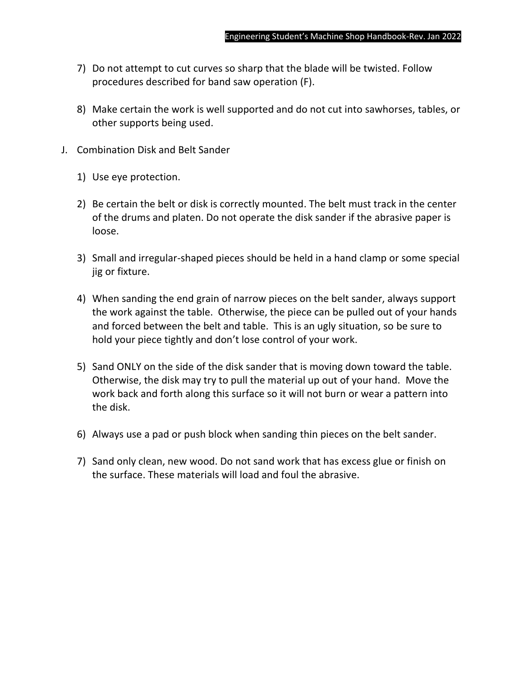- 7) Do not attempt to cut curves so sharp that the blade will be twisted. Follow procedures described for band saw operation (F).
- 8) Make certain the work is well supported and do not cut into sawhorses, tables, or other supports being used.
- J. Combination Disk and Belt Sander
	- 1) Use eye protection.
	- 2) Be certain the belt or disk is correctly mounted. The belt must track in the center of the drums and platen. Do not operate the disk sander if the abrasive paper is loose.
	- 3) Small and irregular-shaped pieces should be held in a hand clamp or some special jig or fixture.
	- 4) When sanding the end grain of narrow pieces on the belt sander, always support the work against the table. Otherwise, the piece can be pulled out of your hands and forced between the belt and table. This is an ugly situation, so be sure to hold your piece tightly and don't lose control of your work.
	- 5) Sand ONLY on the side of the disk sander that is moving down toward the table. Otherwise, the disk may try to pull the material up out of your hand. Move the work back and forth along this surface so it will not burn or wear a pattern into the disk.
	- 6) Always use a pad or push block when sanding thin pieces on the belt sander.
	- 7) Sand only clean, new wood. Do not sand work that has excess glue or finish on the surface. These materials will load and foul the abrasive.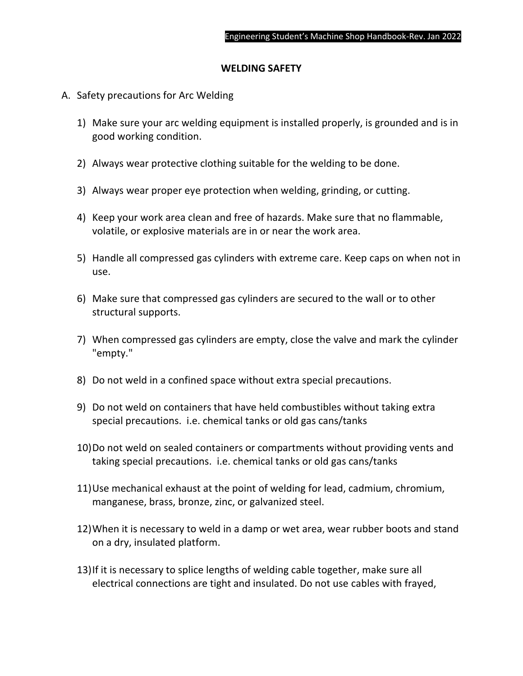#### **WELDING SAFETY**

- A. Safety precautions for Arc Welding
	- 1) Make sure your arc welding equipment is installed properly, is grounded and is in good working condition.
	- 2) Always wear protective clothing suitable for the welding to be done.
	- 3) Always wear proper eye protection when welding, grinding, or cutting.
	- 4) Keep your work area clean and free of hazards. Make sure that no flammable, volatile, or explosive materials are in or near the work area.
	- 5) Handle all compressed gas cylinders with extreme care. Keep caps on when not in use.
	- 6) Make sure that compressed gas cylinders are secured to the wall or to other structural supports.
	- 7) When compressed gas cylinders are empty, close the valve and mark the cylinder "empty."
	- 8) Do not weld in a confined space without extra special precautions.
	- 9) Do not weld on containers that have held combustibles without taking extra special precautions. i.e. chemical tanks or old gas cans/tanks
	- 10)Do not weld on sealed containers or compartments without providing vents and taking special precautions. i.e. chemical tanks or old gas cans/tanks
	- 11)Use mechanical exhaust at the point of welding for lead, cadmium, chromium, manganese, brass, bronze, zinc, or galvanized steel.
	- 12)When it is necessary to weld in a damp or wet area, wear rubber boots and stand on a dry, insulated platform.
	- 13)If it is necessary to splice lengths of welding cable together, make sure all electrical connections are tight and insulated. Do not use cables with frayed,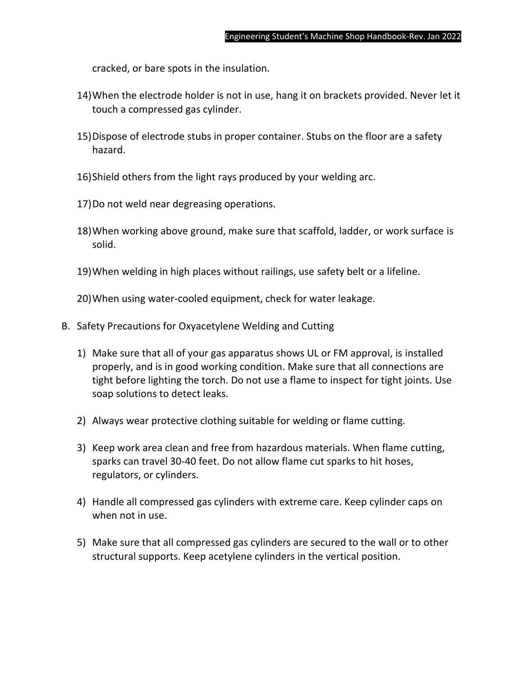cracked, or bare spots in the insulation.

- 14)When the electrode holder is not in use, hang it on brackets provided. Never let it touch a compressed gas cylinder.
- 15)Dispose of electrode stubs in proper container. Stubs on the floor are a safety hazard.
- 16)Shield others from the light rays produced by your welding arc.
- 17)Do not weld near degreasing operations.
- 18)When working above ground, make sure that scaffold, ladder, or work surface is solid.
- 19)When welding in high places without railings, use safety belt or a lifeline.

20)When using water-cooled equipment, check for water leakage.

- B. Safety Precautions for Oxyacetylene Welding and Cutting
	- 1) Make sure that all of your gas apparatus shows UL or FM approval, is installed properly, and is in good working condition. Make sure that all connections are tight before lighting the torch. Do not use a flame to inspect for tight joints. Use soap solutions to detect leaks.
	- 2) Always wear protective clothing suitable for welding or flame cutting.
	- 3) Keep work area clean and free from hazardous materials. When flame cutting, sparks can travel 30-40 feet. Do not allow flame cut sparks to hit hoses, regulators, or cylinders.
	- 4) Handle all compressed gas cylinders with extreme care. Keep cylinder caps on when not in use.
	- 5) Make sure that all compressed gas cylinders are secured to the wall or to other structural supports. Keep acetylene cylinders in the vertical position.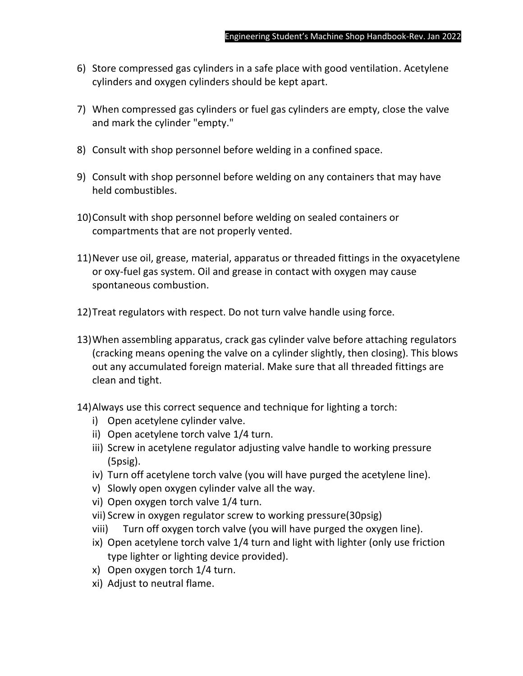- 6) Store compressed gas cylinders in a safe place with good ventilation. Acetylene cylinders and oxygen cylinders should be kept apart.
- 7) When compressed gas cylinders or fuel gas cylinders are empty, close the valve and mark the cylinder "empty."
- 8) Consult with shop personnel before welding in a confined space.
- 9) Consult with shop personnel before welding on any containers that may have held combustibles.
- 10)Consult with shop personnel before welding on sealed containers or compartments that are not properly vented.
- 11)Never use oil, grease, material, apparatus or threaded fittings in the oxyacetylene or oxy-fuel gas system. Oil and grease in contact with oxygen may cause spontaneous combustion.
- 12)Treat regulators with respect. Do not turn valve handle using force.
- 13)When assembling apparatus, crack gas cylinder valve before attaching regulators (cracking means opening the valve on a cylinder slightly, then closing). This blows out any accumulated foreign material. Make sure that all threaded fittings are clean and tight.
- 14)Always use this correct sequence and technique for lighting a torch:
	- i) Open acetylene cylinder valve.
	- ii) Open acetylene torch valve 1/4 turn.
	- iii) Screw in acetylene regulator adjusting valve handle to working pressure (5psig).
	- iv) Turn off acetylene torch valve (you will have purged the acetylene line).
	- v) Slowly open oxygen cylinder valve all the way.
	- vi) Open oxygen torch valve 1/4 turn.
	- vii) Screw in oxygen regulator screw to working pressure(30psig)
	- viii) Turn off oxygen torch valve (you will have purged the oxygen line).
	- ix) Open acetylene torch valve 1/4 turn and light with lighter (only use friction type lighter or lighting device provided).
	- x) Open oxygen torch 1/4 turn.
	- xi) Adjust to neutral flame.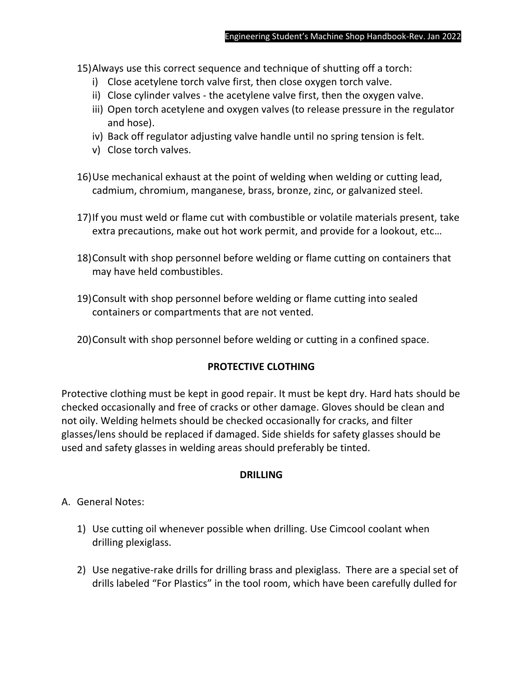15)Always use this correct sequence and technique of shutting off a torch:

- i) Close acetylene torch valve first, then close oxygen torch valve.
- ii) Close cylinder valves the acetylene valve first, then the oxygen valve.
- iii) Open torch acetylene and oxygen valves (to release pressure in the regulator and hose).
- iv) Back off regulator adjusting valve handle until no spring tension is felt.
- v) Close torch valves.
- 16)Use mechanical exhaust at the point of welding when welding or cutting lead, cadmium, chromium, manganese, brass, bronze, zinc, or galvanized steel.
- 17)If you must weld or flame cut with combustible or volatile materials present, take extra precautions, make out hot work permit, and provide for a lookout, etc…
- 18)Consult with shop personnel before welding or flame cutting on containers that may have held combustibles.
- 19)Consult with shop personnel before welding or flame cutting into sealed containers or compartments that are not vented.
- 20)Consult with shop personnel before welding or cutting in a confined space.

# **PROTECTIVE CLOTHING**

Protective clothing must be kept in good repair. It must be kept dry. Hard hats should be checked occasionally and free of cracks or other damage. Gloves should be clean and not oily. Welding helmets should be checked occasionally for cracks, and filter glasses/lens should be replaced if damaged. Side shields for safety glasses should be used and safety glasses in welding areas should preferably be tinted.

### **DRILLING**

- A. General Notes:
	- 1) Use cutting oil whenever possible when drilling. Use Cimcool coolant when drilling plexiglass.
	- 2) Use negative-rake drills for drilling brass and plexiglass. There are a special set of drills labeled "For Plastics" in the tool room, which have been carefully dulled for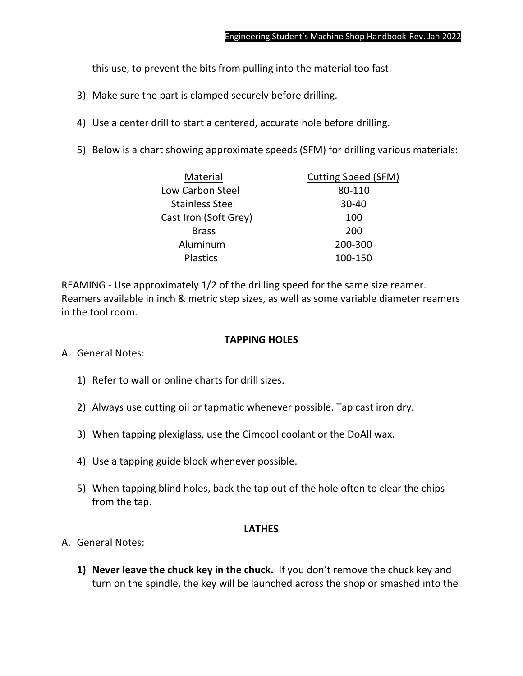this use, to prevent the bits from pulling into the material too fast.

- 3) Make sure the part is clamped securely before drilling.
- 4) Use a center drill to start a centered, accurate hole before drilling.
- 5) Below is a chart showing approximate speeds (SFM) for drilling various materials:

| <b>Cutting Speed (SFM)</b> |
|----------------------------|
|                            |
|                            |
|                            |
|                            |
|                            |
|                            |
|                            |

REAMING - Use approximately 1/2 of the drilling speed for the same size reamer. Reamers available in inch & metric step sizes, as well as some variable diameter reamers in the tool room.

#### **TAPPING HOLES**

- A. General Notes:
	- 1) Refer to wall or online charts for drill sizes.
	- 2) Always use cutting oil or tapmatic whenever possible. Tap cast iron dry.
	- 3) When tapping plexiglass, use the Cimcool coolant or the DoAll wax.
	- 4) Use a tapping guide block whenever possible.
	- 5) When tapping blind holes, back the tap out of the hole often to clear the chips from the tap.

#### **LATHES**

- A. General Notes:
	- **1) Never leave the chuck key in the chuck.** If you don't remove the chuck key and turn on the spindle, the key will be launched across the shop or smashed into the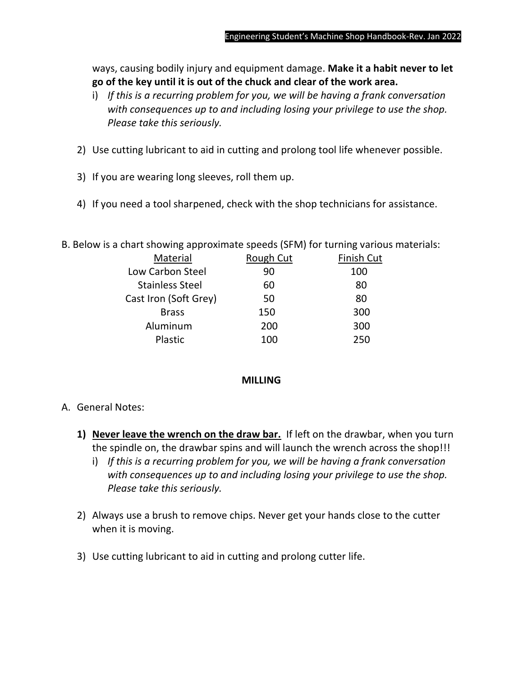ways, causing bodily injury and equipment damage. **Make it a habit never to let go of the key until it is out of the chuck and clear of the work area.**

- i) *If this is a recurring problem for you, we will be having a frank conversation with consequences up to and including losing your privilege to use the shop. Please take this seriously.*
- 2) Use cutting lubricant to aid in cutting and prolong tool life whenever possible.
- 3) If you are wearing long sleeves, roll them up.
- 4) If you need a tool sharpened, check with the shop technicians for assistance.

| Material               | Rough Cut | Finish Cut |
|------------------------|-----------|------------|
| Low Carbon Steel       | 90        | 100        |
| <b>Stainless Steel</b> | 60        | 80         |
| Cast Iron (Soft Grey)  | 50        | 80         |
| <b>Brass</b>           | 150       | 300        |
| Aluminum               | 200       | 300        |
| Plastic                | 100       | 250        |
|                        |           |            |

B. Below is a chart showing approximate speeds (SFM) for turning various materials:

### **MILLING**

- A. General Notes:
	- **1) Never leave the wrench on the draw bar.** If left on the drawbar, when you turn the spindle on, the drawbar spins and will launch the wrench across the shop!!!
		- i) *If this is a recurring problem for you, we will be having a frank conversation with consequences up to and including losing your privilege to use the shop. Please take this seriously.*
	- 2) Always use a brush to remove chips. Never get your hands close to the cutter when it is moving.
	- 3) Use cutting lubricant to aid in cutting and prolong cutter life.